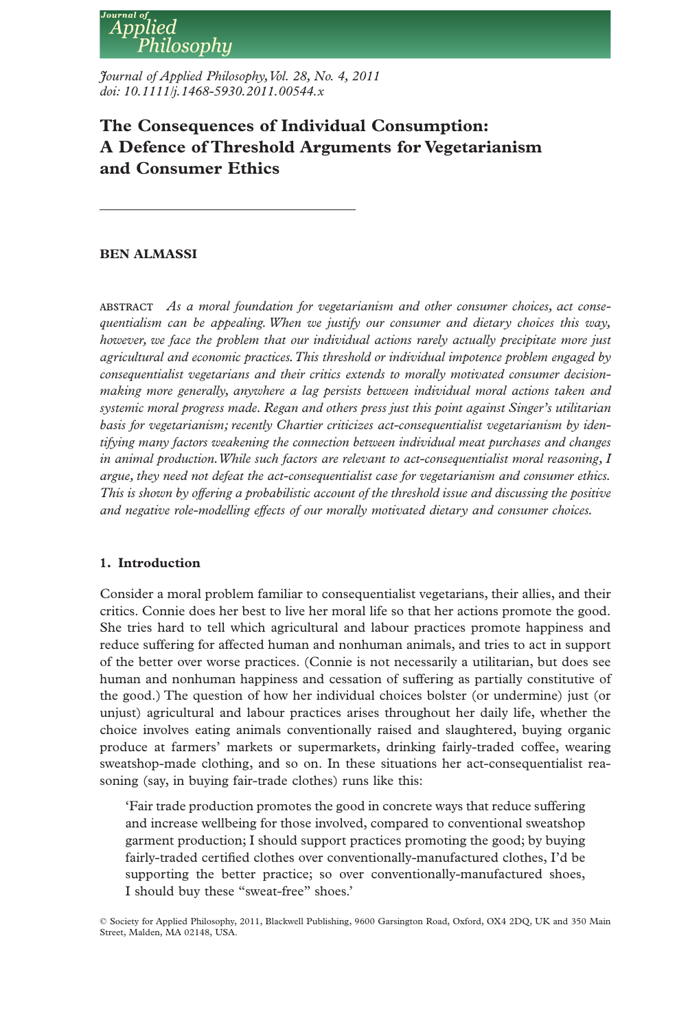

*Journal of Applied Philosophy,Vol. 28, No. 4, 2011 doi: 10.1111/j.1468-5930.2011.00544.x*

# **The Consequences of Individual Consumption: A Defence of Threshold Arguments for Vegetarianism and Consumer Ethics**

## **BEN ALMASSI**

abstract *As a moral foundation for vegetarianism and other consumer choices, act consequentialism can be appealing. When we justify our consumer and dietary choices this way, however, we face the problem that our individual actions rarely actually precipitate more just agricultural and economic practices.This threshold or individual impotence problem engaged by consequentialist vegetarians and their critics extends to morally motivated consumer decisionmaking more generally, anywhere a lag persists between individual moral actions taken and systemic moral progress made. Regan and others press just this point against Singer's utilitarian basis for vegetarianism; recently Chartier criticizes act-consequentialist vegetarianism by identifying many factors weakening the connection between individual meat purchases and changes in animal production.While such factors are relevant to act-consequentialist moral reasoning, I argue, they need not defeat the act-consequentialist case for vegetarianism and consumer ethics. This is shown by offering a probabilistic account of the threshold issue and discussing the positive and negative role-modelling effects of our morally motivated dietary and consumer choices.*

#### **1. Introduction**

Consider a moral problem familiar to consequentialist vegetarians, their allies, and their critics. Connie does her best to live her moral life so that her actions promote the good. She tries hard to tell which agricultural and labour practices promote happiness and reduce suffering for affected human and nonhuman animals, and tries to act in support of the better over worse practices. (Connie is not necessarily a utilitarian, but does see human and nonhuman happiness and cessation of suffering as partially constitutive of the good.) The question of how her individual choices bolster (or undermine) just (or unjust) agricultural and labour practices arises throughout her daily life, whether the choice involves eating animals conventionally raised and slaughtered, buying organic produce at farmers' markets or supermarkets, drinking fairly-traded coffee, wearing sweatshop-made clothing, and so on. In these situations her act-consequentialist reasoning (say, in buying fair-trade clothes) runs like this:

'Fair trade production promotes the good in concrete ways that reduce suffering and increase wellbeing for those involved, compared to conventional sweatshop garment production; I should support practices promoting the good; by buying fairly-traded certified clothes over conventionally-manufactured clothes, I'd be supporting the better practice; so over conventionally-manufactured shoes, I should buy these "sweat-free" shoes.'

© Society for Applied Philosophy, 2011, Blackwell Publishing, 9600 Garsington Road, Oxford, OX4 2DQ, UK and 350 Main Street, Malden, MA 02148, USA.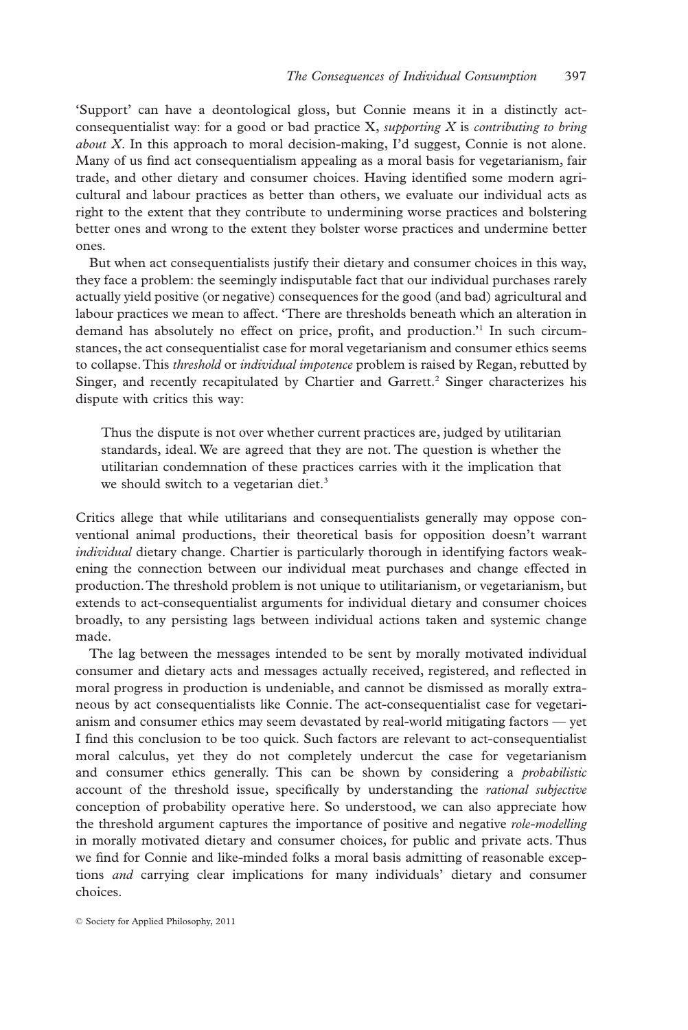'Support' can have a deontological gloss, but Connie means it in a distinctly actconsequentialist way: for a good or bad practice X, *supporting X* is *contributing to bring about X*. In this approach to moral decision-making, I'd suggest, Connie is not alone. Many of us find act consequentialism appealing as a moral basis for vegetarianism, fair trade, and other dietary and consumer choices. Having identified some modern agricultural and labour practices as better than others, we evaluate our individual acts as right to the extent that they contribute to undermining worse practices and bolstering better ones and wrong to the extent they bolster worse practices and undermine better ones.

But when act consequentialists justify their dietary and consumer choices in this way, they face a problem: the seemingly indisputable fact that our individual purchases rarely actually yield positive (or negative) consequences for the good (and bad) agricultural and labour practices we mean to affect. 'There are thresholds beneath which an alteration in demand has absolutely no effect on price, profit, and production.'1 In such circumstances, the act consequentialist case for moral vegetarianism and consumer ethics seems to collapse.This *threshold* or *individual impotence* problem is raised by Regan, rebutted by Singer, and recently recapitulated by Chartier and Garrett.<sup>2</sup> Singer characterizes his dispute with critics this way:

Thus the dispute is not over whether current practices are, judged by utilitarian standards, ideal. We are agreed that they are not. The question is whether the utilitarian condemnation of these practices carries with it the implication that we should switch to a vegetarian diet.<sup>3</sup>

Critics allege that while utilitarians and consequentialists generally may oppose conventional animal productions, their theoretical basis for opposition doesn't warrant *individual* dietary change. Chartier is particularly thorough in identifying factors weakening the connection between our individual meat purchases and change effected in production.The threshold problem is not unique to utilitarianism, or vegetarianism, but extends to act-consequentialist arguments for individual dietary and consumer choices broadly, to any persisting lags between individual actions taken and systemic change made.

The lag between the messages intended to be sent by morally motivated individual consumer and dietary acts and messages actually received, registered, and reflected in moral progress in production is undeniable, and cannot be dismissed as morally extraneous by act consequentialists like Connie. The act-consequentialist case for vegetarianism and consumer ethics may seem devastated by real-world mitigating factors — yet I find this conclusion to be too quick. Such factors are relevant to act-consequentialist moral calculus, yet they do not completely undercut the case for vegetarianism and consumer ethics generally. This can be shown by considering a *probabilistic* account of the threshold issue, specifically by understanding the *rational subjective* conception of probability operative here. So understood, we can also appreciate how the threshold argument captures the importance of positive and negative *role-modelling* in morally motivated dietary and consumer choices, for public and private acts. Thus we find for Connie and like-minded folks a moral basis admitting of reasonable exceptions *and* carrying clear implications for many individuals' dietary and consumer choices.

<sup>©</sup> Society for Applied Philosophy, 2011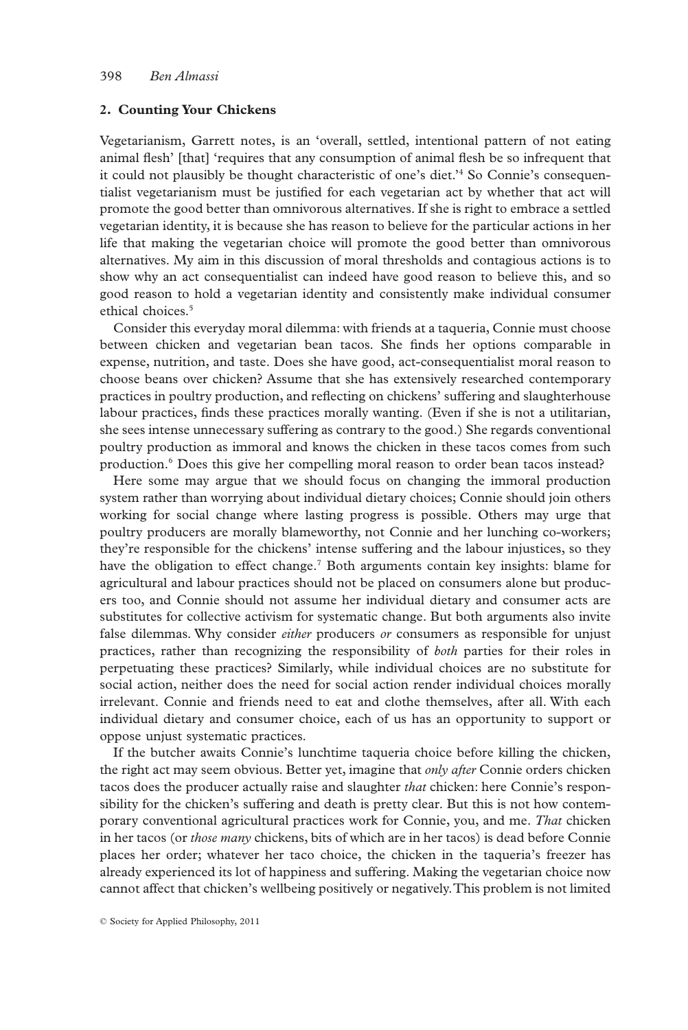#### **2. Counting Your Chickens**

Vegetarianism, Garrett notes, is an 'overall, settled, intentional pattern of not eating animal flesh' [that] 'requires that any consumption of animal flesh be so infrequent that it could not plausibly be thought characteristic of one's diet.'4 So Connie's consequentialist vegetarianism must be justified for each vegetarian act by whether that act will promote the good better than omnivorous alternatives. If she is right to embrace a settled vegetarian identity, it is because she has reason to believe for the particular actions in her life that making the vegetarian choice will promote the good better than omnivorous alternatives. My aim in this discussion of moral thresholds and contagious actions is to show why an act consequentialist can indeed have good reason to believe this, and so good reason to hold a vegetarian identity and consistently make individual consumer ethical choices.<sup>5</sup>

Consider this everyday moral dilemma: with friends at a taqueria, Connie must choose between chicken and vegetarian bean tacos. She finds her options comparable in expense, nutrition, and taste. Does she have good, act-consequentialist moral reason to choose beans over chicken? Assume that she has extensively researched contemporary practices in poultry production, and reflecting on chickens' suffering and slaughterhouse labour practices, finds these practices morally wanting. (Even if she is not a utilitarian, she sees intense unnecessary suffering as contrary to the good.) She regards conventional poultry production as immoral and knows the chicken in these tacos comes from such production.6 Does this give her compelling moral reason to order bean tacos instead?

Here some may argue that we should focus on changing the immoral production system rather than worrying about individual dietary choices; Connie should join others working for social change where lasting progress is possible. Others may urge that poultry producers are morally blameworthy, not Connie and her lunching co-workers; they're responsible for the chickens' intense suffering and the labour injustices, so they have the obligation to effect change.<sup>7</sup> Both arguments contain key insights: blame for agricultural and labour practices should not be placed on consumers alone but producers too, and Connie should not assume her individual dietary and consumer acts are substitutes for collective activism for systematic change. But both arguments also invite false dilemmas. Why consider *either* producers *or* consumers as responsible for unjust practices, rather than recognizing the responsibility of *both* parties for their roles in perpetuating these practices? Similarly, while individual choices are no substitute for social action, neither does the need for social action render individual choices morally irrelevant. Connie and friends need to eat and clothe themselves, after all. With each individual dietary and consumer choice, each of us has an opportunity to support or oppose unjust systematic practices.

If the butcher awaits Connie's lunchtime taqueria choice before killing the chicken, the right act may seem obvious. Better yet, imagine that *only after* Connie orders chicken tacos does the producer actually raise and slaughter *that* chicken: here Connie's responsibility for the chicken's suffering and death is pretty clear. But this is not how contemporary conventional agricultural practices work for Connie, you, and me. *That* chicken in her tacos (or *those many* chickens, bits of which are in her tacos) is dead before Connie places her order; whatever her taco choice, the chicken in the taqueria's freezer has already experienced its lot of happiness and suffering. Making the vegetarian choice now cannot affect that chicken's wellbeing positively or negatively.This problem is not limited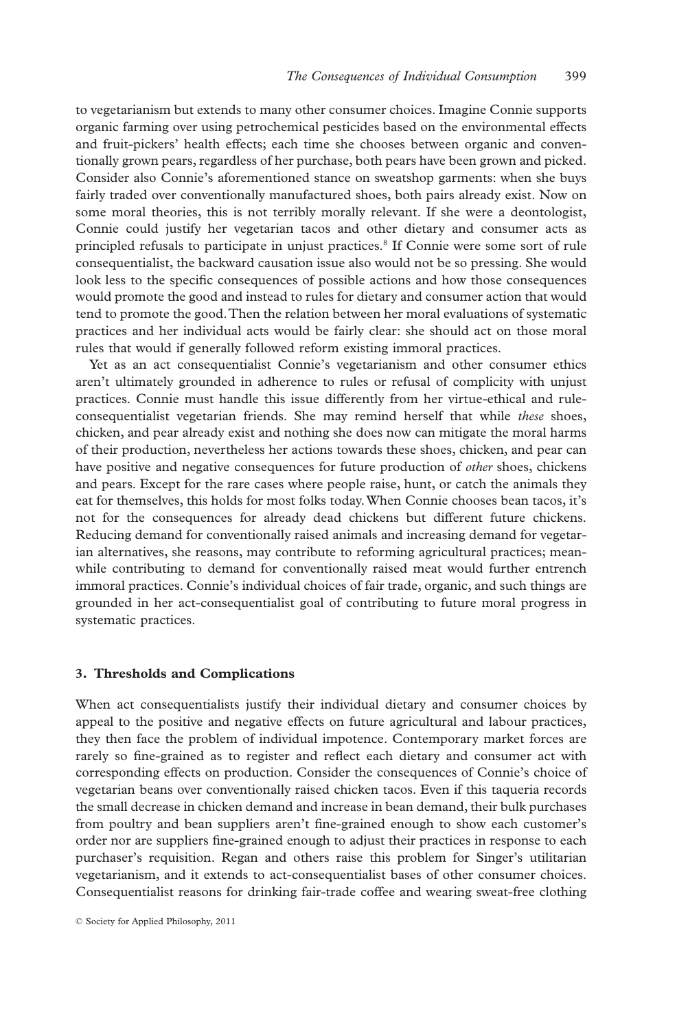to vegetarianism but extends to many other consumer choices. Imagine Connie supports organic farming over using petrochemical pesticides based on the environmental effects and fruit-pickers' health effects; each time she chooses between organic and conventionally grown pears, regardless of her purchase, both pears have been grown and picked. Consider also Connie's aforementioned stance on sweatshop garments: when she buys fairly traded over conventionally manufactured shoes, both pairs already exist. Now on some moral theories, this is not terribly morally relevant. If she were a deontologist, Connie could justify her vegetarian tacos and other dietary and consumer acts as principled refusals to participate in unjust practices.8 If Connie were some sort of rule consequentialist, the backward causation issue also would not be so pressing. She would look less to the specific consequences of possible actions and how those consequences would promote the good and instead to rules for dietary and consumer action that would tend to promote the good.Then the relation between her moral evaluations of systematic practices and her individual acts would be fairly clear: she should act on those moral rules that would if generally followed reform existing immoral practices.

Yet as an act consequentialist Connie's vegetarianism and other consumer ethics aren't ultimately grounded in adherence to rules or refusal of complicity with unjust practices. Connie must handle this issue differently from her virtue-ethical and ruleconsequentialist vegetarian friends. She may remind herself that while *these* shoes, chicken, and pear already exist and nothing she does now can mitigate the moral harms of their production, nevertheless her actions towards these shoes, chicken, and pear can have positive and negative consequences for future production of *other* shoes, chickens and pears. Except for the rare cases where people raise, hunt, or catch the animals they eat for themselves, this holds for most folks today.When Connie chooses bean tacos, it's not for the consequences for already dead chickens but different future chickens. Reducing demand for conventionally raised animals and increasing demand for vegetarian alternatives, she reasons, may contribute to reforming agricultural practices; meanwhile contributing to demand for conventionally raised meat would further entrench immoral practices. Connie's individual choices of fair trade, organic, and such things are grounded in her act-consequentialist goal of contributing to future moral progress in systematic practices.

### **3. Thresholds and Complications**

When act consequentialists justify their individual dietary and consumer choices by appeal to the positive and negative effects on future agricultural and labour practices, they then face the problem of individual impotence. Contemporary market forces are rarely so fine-grained as to register and reflect each dietary and consumer act with corresponding effects on production. Consider the consequences of Connie's choice of vegetarian beans over conventionally raised chicken tacos. Even if this taqueria records the small decrease in chicken demand and increase in bean demand, their bulk purchases from poultry and bean suppliers aren't fine-grained enough to show each customer's order nor are suppliers fine-grained enough to adjust their practices in response to each purchaser's requisition. Regan and others raise this problem for Singer's utilitarian vegetarianism, and it extends to act-consequentialist bases of other consumer choices. Consequentialist reasons for drinking fair-trade coffee and wearing sweat-free clothing

<sup>©</sup> Society for Applied Philosophy, 2011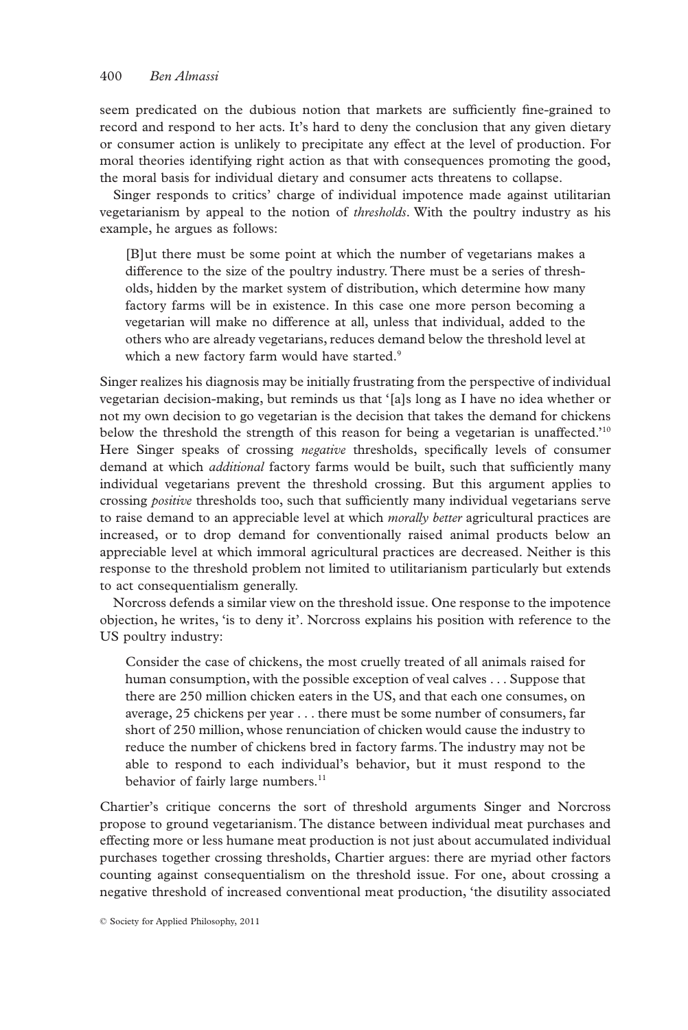seem predicated on the dubious notion that markets are sufficiently fine-grained to record and respond to her acts. It's hard to deny the conclusion that any given dietary or consumer action is unlikely to precipitate any effect at the level of production. For moral theories identifying right action as that with consequences promoting the good, the moral basis for individual dietary and consumer acts threatens to collapse.

Singer responds to critics' charge of individual impotence made against utilitarian vegetarianism by appeal to the notion of *thresholds*. With the poultry industry as his example, he argues as follows:

[B]ut there must be some point at which the number of vegetarians makes a difference to the size of the poultry industry. There must be a series of thresholds, hidden by the market system of distribution, which determine how many factory farms will be in existence. In this case one more person becoming a vegetarian will make no difference at all, unless that individual, added to the others who are already vegetarians, reduces demand below the threshold level at which a new factory farm would have started.<sup>9</sup>

Singer realizes his diagnosis may be initially frustrating from the perspective of individual vegetarian decision-making, but reminds us that '[a]s long as I have no idea whether or not my own decision to go vegetarian is the decision that takes the demand for chickens below the threshold the strength of this reason for being a vegetarian is unaffected.'10 Here Singer speaks of crossing *negative* thresholds, specifically levels of consumer demand at which *additional* factory farms would be built, such that sufficiently many individual vegetarians prevent the threshold crossing. But this argument applies to crossing *positive* thresholds too, such that sufficiently many individual vegetarians serve to raise demand to an appreciable level at which *morally better* agricultural practices are increased, or to drop demand for conventionally raised animal products below an appreciable level at which immoral agricultural practices are decreased. Neither is this response to the threshold problem not limited to utilitarianism particularly but extends to act consequentialism generally.

Norcross defends a similar view on the threshold issue. One response to the impotence objection, he writes, 'is to deny it'. Norcross explains his position with reference to the US poultry industry:

Consider the case of chickens, the most cruelly treated of all animals raised for human consumption, with the possible exception of veal calves . . . Suppose that there are 250 million chicken eaters in the US, and that each one consumes, on average, 25 chickens per year . . . there must be some number of consumers, far short of 250 million, whose renunciation of chicken would cause the industry to reduce the number of chickens bred in factory farms.The industry may not be able to respond to each individual's behavior, but it must respond to the behavior of fairly large numbers.<sup>11</sup>

Chartier's critique concerns the sort of threshold arguments Singer and Norcross propose to ground vegetarianism. The distance between individual meat purchases and effecting more or less humane meat production is not just about accumulated individual purchases together crossing thresholds, Chartier argues: there are myriad other factors counting against consequentialism on the threshold issue. For one, about crossing a negative threshold of increased conventional meat production, 'the disutility associated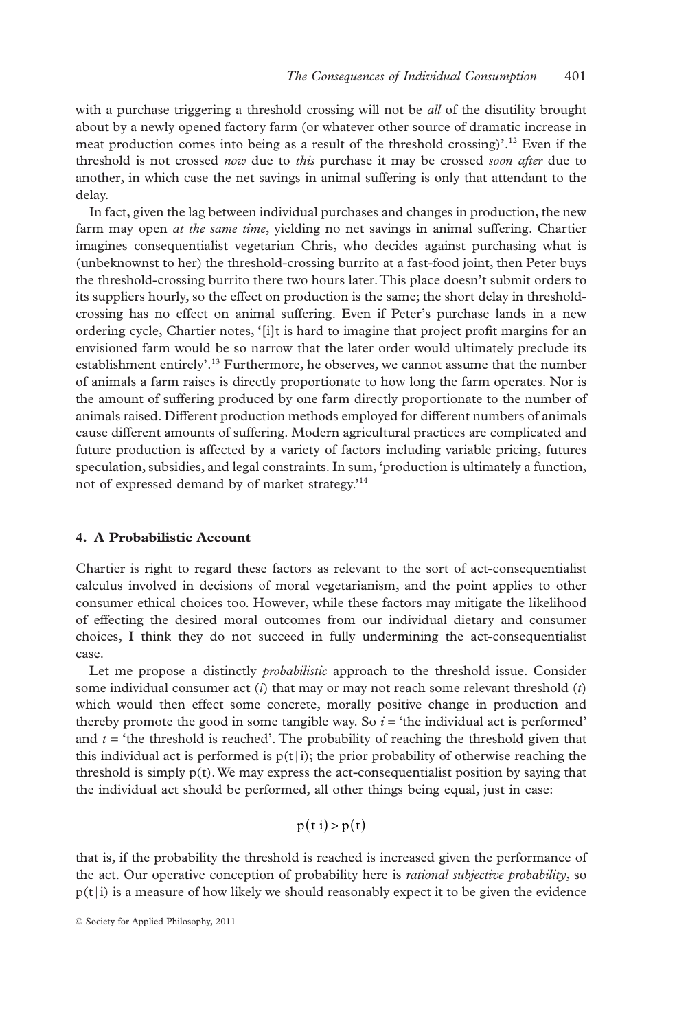with a purchase triggering a threshold crossing will not be *all* of the disutility brought about by a newly opened factory farm (or whatever other source of dramatic increase in meat production comes into being as a result of the threshold crossing)'.<sup>12</sup> Even if the threshold is not crossed *now* due to *this* purchase it may be crossed *soon after* due to another, in which case the net savings in animal suffering is only that attendant to the delay.

In fact, given the lag between individual purchases and changes in production, the new farm may open *at the same time*, yielding no net savings in animal suffering. Chartier imagines consequentialist vegetarian Chris, who decides against purchasing what is (unbeknownst to her) the threshold-crossing burrito at a fast-food joint, then Peter buys the threshold-crossing burrito there two hours later.This place doesn't submit orders to its suppliers hourly, so the effect on production is the same; the short delay in thresholdcrossing has no effect on animal suffering. Even if Peter's purchase lands in a new ordering cycle, Chartier notes, '[i]t is hard to imagine that project profit margins for an envisioned farm would be so narrow that the later order would ultimately preclude its establishment entirely'.13 Furthermore, he observes, we cannot assume that the number of animals a farm raises is directly proportionate to how long the farm operates. Nor is the amount of suffering produced by one farm directly proportionate to the number of animals raised. Different production methods employed for different numbers of animals cause different amounts of suffering. Modern agricultural practices are complicated and future production is affected by a variety of factors including variable pricing, futures speculation, subsidies, and legal constraints. In sum, 'production is ultimately a function, not of expressed demand by of market strategy.'14

## **4. A Probabilistic Account**

Chartier is right to regard these factors as relevant to the sort of act-consequentialist calculus involved in decisions of moral vegetarianism, and the point applies to other consumer ethical choices too. However, while these factors may mitigate the likelihood of effecting the desired moral outcomes from our individual dietary and consumer choices, I think they do not succeed in fully undermining the act-consequentialist case.

Let me propose a distinctly *probabilistic* approach to the threshold issue. Consider some individual consumer act (*i*) that may or may not reach some relevant threshold (*t*) which would then effect some concrete, morally positive change in production and thereby promote the good in some tangible way. So  $i =$  'the individual act is performed' and  $t =$  'the threshold is reached'. The probability of reaching the threshold given that this individual act is performed is  $p(t|i)$ ; the prior probability of otherwise reaching the threshold is simply  $p(t)$ . We may express the act-consequentialist position by saying that the individual act should be performed, all other things being equal, just in case:

$$
p(t|i) > p(t)
$$

that is, if the probability the threshold is reached is increased given the performance of the act. Our operative conception of probability here is *rational subjective probability*, so  $p(t|i)$  is a measure of how likely we should reasonably expect it to be given the evidence

<sup>©</sup> Society for Applied Philosophy, 2011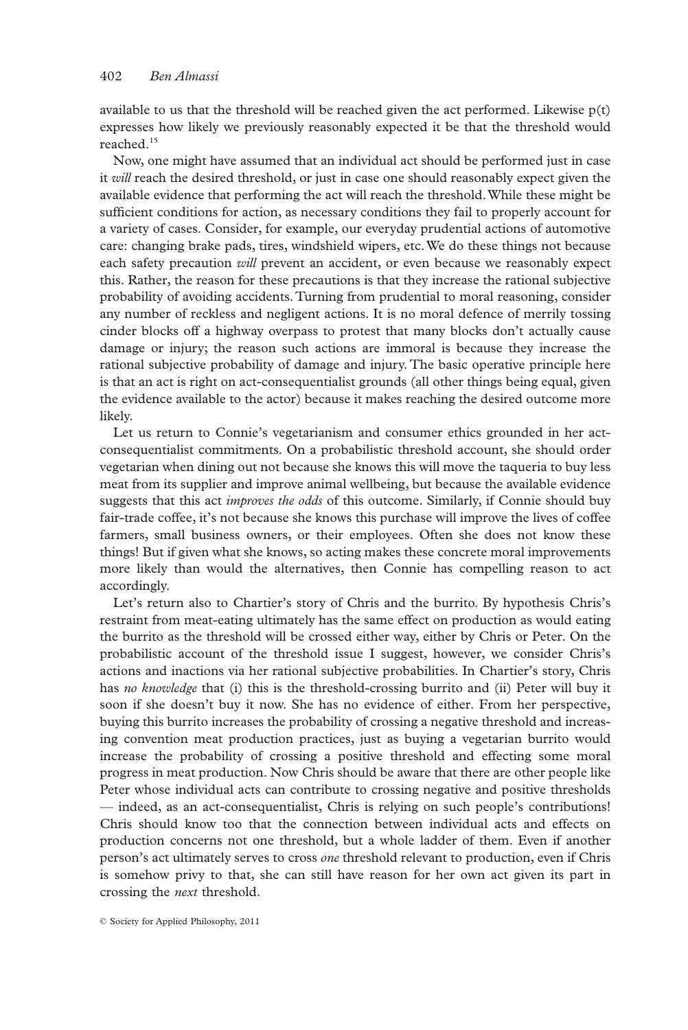available to us that the threshold will be reached given the act performed. Likewise  $p(t)$ expresses how likely we previously reasonably expected it be that the threshold would reached.15

Now, one might have assumed that an individual act should be performed just in case it *will* reach the desired threshold, or just in case one should reasonably expect given the available evidence that performing the act will reach the threshold.While these might be sufficient conditions for action, as necessary conditions they fail to properly account for a variety of cases. Consider, for example, our everyday prudential actions of automotive care: changing brake pads, tires, windshield wipers, etc.We do these things not because each safety precaution *will* prevent an accident, or even because we reasonably expect this. Rather, the reason for these precautions is that they increase the rational subjective probability of avoiding accidents.Turning from prudential to moral reasoning, consider any number of reckless and negligent actions. It is no moral defence of merrily tossing cinder blocks off a highway overpass to protest that many blocks don't actually cause damage or injury; the reason such actions are immoral is because they increase the rational subjective probability of damage and injury. The basic operative principle here is that an act is right on act-consequentialist grounds (all other things being equal, given the evidence available to the actor) because it makes reaching the desired outcome more likely.

Let us return to Connie's vegetarianism and consumer ethics grounded in her actconsequentialist commitments. On a probabilistic threshold account, she should order vegetarian when dining out not because she knows this will move the taqueria to buy less meat from its supplier and improve animal wellbeing, but because the available evidence suggests that this act *improves the odds* of this outcome. Similarly, if Connie should buy fair-trade coffee, it's not because she knows this purchase will improve the lives of coffee farmers, small business owners, or their employees. Often she does not know these things! But if given what she knows, so acting makes these concrete moral improvements more likely than would the alternatives, then Connie has compelling reason to act accordingly.

Let's return also to Chartier's story of Chris and the burrito. By hypothesis Chris's restraint from meat-eating ultimately has the same effect on production as would eating the burrito as the threshold will be crossed either way, either by Chris or Peter. On the probabilistic account of the threshold issue I suggest, however, we consider Chris's actions and inactions via her rational subjective probabilities. In Chartier's story, Chris has *no knowledge* that (i) this is the threshold-crossing burrito and (ii) Peter will buy it soon if she doesn't buy it now. She has no evidence of either. From her perspective, buying this burrito increases the probability of crossing a negative threshold and increasing convention meat production practices, just as buying a vegetarian burrito would increase the probability of crossing a positive threshold and effecting some moral progress in meat production. Now Chris should be aware that there are other people like Peter whose individual acts can contribute to crossing negative and positive thresholds — indeed, as an act-consequentialist, Chris is relying on such people's contributions! Chris should know too that the connection between individual acts and effects on production concerns not one threshold, but a whole ladder of them. Even if another person's act ultimately serves to cross *one* threshold relevant to production, even if Chris is somehow privy to that, she can still have reason for her own act given its part in crossing the *next* threshold.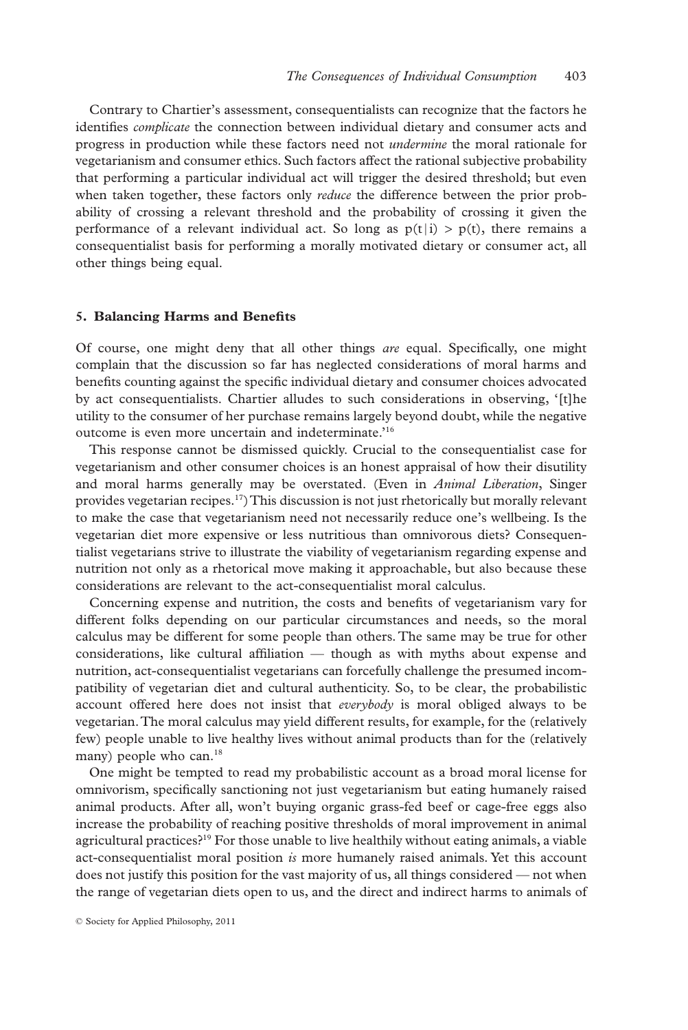Contrary to Chartier's assessment, consequentialists can recognize that the factors he identifies *complicate* the connection between individual dietary and consumer acts and progress in production while these factors need not *undermine* the moral rationale for vegetarianism and consumer ethics. Such factors affect the rational subjective probability that performing a particular individual act will trigger the desired threshold; but even when taken together, these factors only *reduce* the difference between the prior probability of crossing a relevant threshold and the probability of crossing it given the performance of a relevant individual act. So long as  $p(t|i) > p(t)$ , there remains a consequentialist basis for performing a morally motivated dietary or consumer act, all other things being equal.

#### **5. Balancing Harms and Benefits**

Of course, one might deny that all other things *are* equal. Specifically, one might complain that the discussion so far has neglected considerations of moral harms and benefits counting against the specific individual dietary and consumer choices advocated by act consequentialists. Chartier alludes to such considerations in observing, '[t]he utility to the consumer of her purchase remains largely beyond doubt, while the negative outcome is even more uncertain and indeterminate.'16

This response cannot be dismissed quickly. Crucial to the consequentialist case for vegetarianism and other consumer choices is an honest appraisal of how their disutility and moral harms generally may be overstated. (Even in *Animal Liberation*, Singer provides vegetarian recipes.<sup>17</sup>) This discussion is not just rhetorically but morally relevant to make the case that vegetarianism need not necessarily reduce one's wellbeing. Is the vegetarian diet more expensive or less nutritious than omnivorous diets? Consequentialist vegetarians strive to illustrate the viability of vegetarianism regarding expense and nutrition not only as a rhetorical move making it approachable, but also because these considerations are relevant to the act-consequentialist moral calculus.

Concerning expense and nutrition, the costs and benefits of vegetarianism vary for different folks depending on our particular circumstances and needs, so the moral calculus may be different for some people than others. The same may be true for other considerations, like cultural affiliation — though as with myths about expense and nutrition, act-consequentialist vegetarians can forcefully challenge the presumed incompatibility of vegetarian diet and cultural authenticity. So, to be clear, the probabilistic account offered here does not insist that *everybody* is moral obliged always to be vegetarian.The moral calculus may yield different results, for example, for the (relatively few) people unable to live healthy lives without animal products than for the (relatively many) people who can.<sup>18</sup>

One might be tempted to read my probabilistic account as a broad moral license for omnivorism, specifically sanctioning not just vegetarianism but eating humanely raised animal products. After all, won't buying organic grass-fed beef or cage-free eggs also increase the probability of reaching positive thresholds of moral improvement in animal agricultural practices?<sup>19</sup> For those unable to live healthily without eating animals, a viable act-consequentialist moral position *is* more humanely raised animals. Yet this account does not justify this position for the vast majority of us, all things considered — not when the range of vegetarian diets open to us, and the direct and indirect harms to animals of

© Society for Applied Philosophy, 2011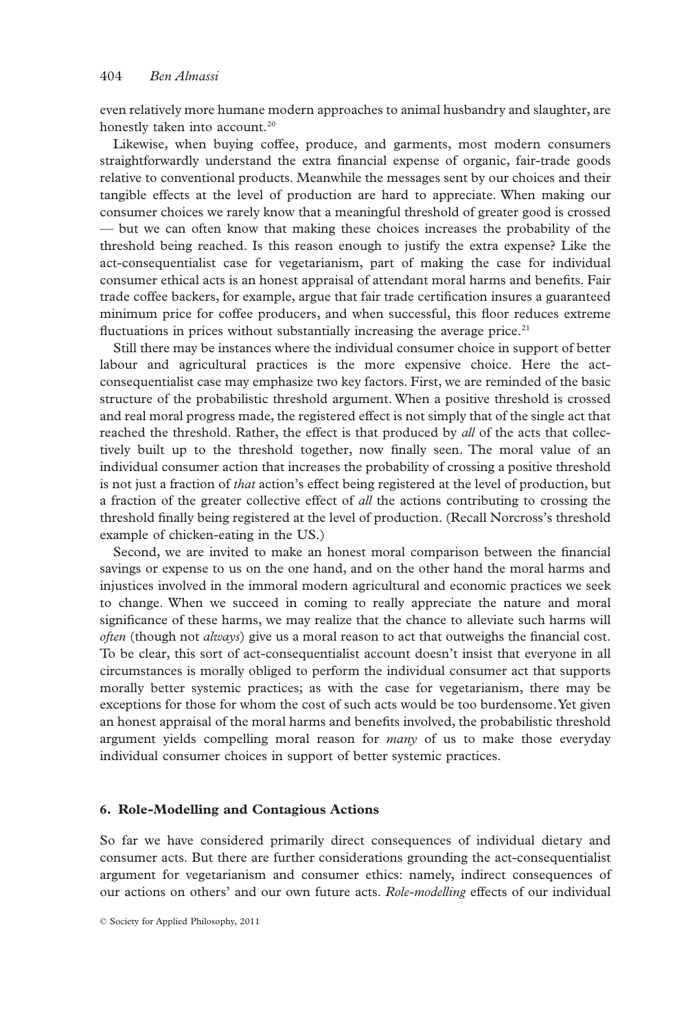even relatively more humane modern approaches to animal husbandry and slaughter, are honestly taken into account.<sup>20</sup>

Likewise, when buying coffee, produce, and garments, most modern consumers straightforwardly understand the extra financial expense of organic, fair-trade goods relative to conventional products. Meanwhile the messages sent by our choices and their tangible effects at the level of production are hard to appreciate. When making our consumer choices we rarely know that a meaningful threshold of greater good is crossed — but we can often know that making these choices increases the probability of the threshold being reached. Is this reason enough to justify the extra expense? Like the act-consequentialist case for vegetarianism, part of making the case for individual consumer ethical acts is an honest appraisal of attendant moral harms and benefits. Fair trade coffee backers, for example, argue that fair trade certification insures a guaranteed minimum price for coffee producers, and when successful, this floor reduces extreme fluctuations in prices without substantially increasing the average price.<sup>21</sup>

Still there may be instances where the individual consumer choice in support of better labour and agricultural practices is the more expensive choice. Here the actconsequentialist case may emphasize two key factors. First, we are reminded of the basic structure of the probabilistic threshold argument. When a positive threshold is crossed and real moral progress made, the registered effect is not simply that of the single act that reached the threshold. Rather, the effect is that produced by *all* of the acts that collectively built up to the threshold together, now finally seen. The moral value of an individual consumer action that increases the probability of crossing a positive threshold is not just a fraction of *that* action's effect being registered at the level of production, but a fraction of the greater collective effect of *all* the actions contributing to crossing the threshold finally being registered at the level of production. (Recall Norcross's threshold example of chicken-eating in the US.)

Second, we are invited to make an honest moral comparison between the financial savings or expense to us on the one hand, and on the other hand the moral harms and injustices involved in the immoral modern agricultural and economic practices we seek to change. When we succeed in coming to really appreciate the nature and moral significance of these harms, we may realize that the chance to alleviate such harms will *often* (though not *always*) give us a moral reason to act that outweighs the financial cost. To be clear, this sort of act-consequentialist account doesn't insist that everyone in all circumstances is morally obliged to perform the individual consumer act that supports morally better systemic practices; as with the case for vegetarianism, there may be exceptions for those for whom the cost of such acts would be too burdensome. Yet given an honest appraisal of the moral harms and benefits involved, the probabilistic threshold argument yields compelling moral reason for *many* of us to make those everyday individual consumer choices in support of better systemic practices.

#### **6. Role-Modelling and Contagious Actions**

So far we have considered primarily direct consequences of individual dietary and consumer acts. But there are further considerations grounding the act-consequentialist argument for vegetarianism and consumer ethics: namely, indirect consequences of our actions on others' and our own future acts. *Role-modelling* effects of our individual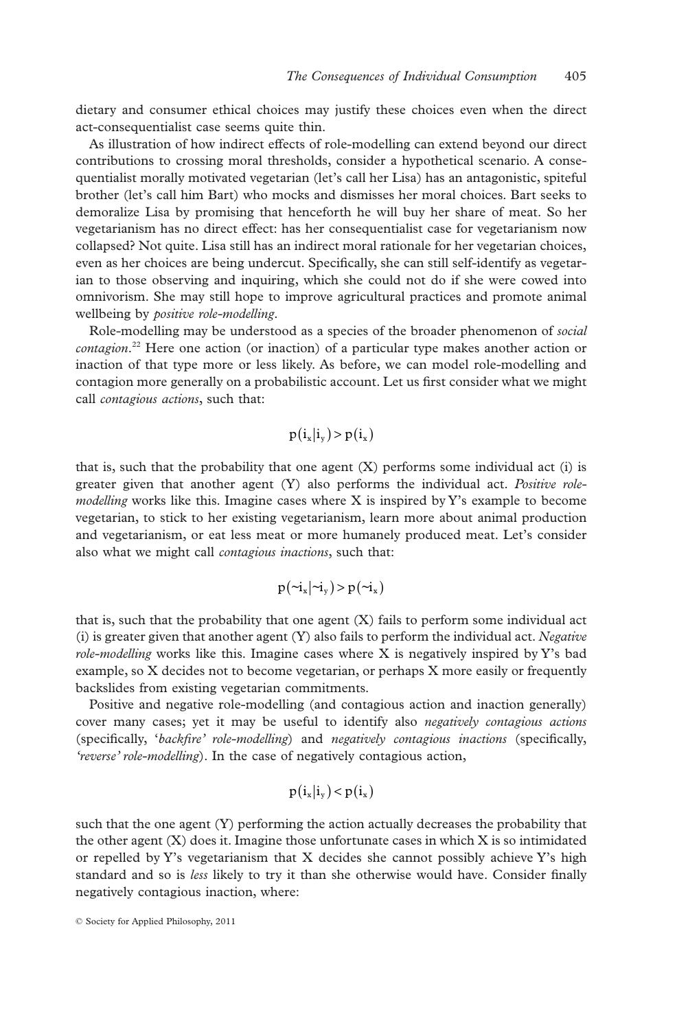dietary and consumer ethical choices may justify these choices even when the direct act-consequentialist case seems quite thin.

As illustration of how indirect effects of role-modelling can extend beyond our direct contributions to crossing moral thresholds, consider a hypothetical scenario. A consequentialist morally motivated vegetarian (let's call her Lisa) has an antagonistic, spiteful brother (let's call him Bart) who mocks and dismisses her moral choices. Bart seeks to demoralize Lisa by promising that henceforth he will buy her share of meat. So her vegetarianism has no direct effect: has her consequentialist case for vegetarianism now collapsed? Not quite. Lisa still has an indirect moral rationale for her vegetarian choices, even as her choices are being undercut. Specifically, she can still self-identify as vegetarian to those observing and inquiring, which she could not do if she were cowed into omnivorism. She may still hope to improve agricultural practices and promote animal wellbeing by *positive role-modelling*.

Role-modelling may be understood as a species of the broader phenomenon of *social contagion*. <sup>22</sup> Here one action (or inaction) of a particular type makes another action or inaction of that type more or less likely. As before, we can model role-modelling and contagion more generally on a probabilistic account. Let us first consider what we might call *contagious actions*, such that:

$$
p(i_x|i_y) > p(i_x)
$$

that is, such that the probability that one agent  $(X)$  performs some individual act (i) is greater given that another agent (Y) also performs the individual act. *Positive rolemodelling* works like this. Imagine cases where X is inspired by Y's example to become vegetarian, to stick to her existing vegetarianism, learn more about animal production and vegetarianism, or eat less meat or more humanely produced meat. Let's consider also what we might call *contagious inactions*, such that:

$$
p(\sim i_x|\sim i_y) > p(\sim i_x)
$$

that is, such that the probability that one agent  $(X)$  fails to perform some individual act (i) is greater given that another agent (Y) also fails to perform the individual act. *Negative role-modelling* works like this. Imagine cases where X is negatively inspired by Y's bad example, so X decides not to become vegetarian, or perhaps X more easily or frequently backslides from existing vegetarian commitments.

Positive and negative role-modelling (and contagious action and inaction generally) cover many cases; yet it may be useful to identify also *negatively contagious actions* (specifically, '*backfire' role-modelling*) and *negatively contagious inactions* (specifically, *'reverse' role-modelling*). In the case of negatively contagious action,

$$
p(i_x|i_y) \lt p(i_x)
$$

such that the one agent (Y) performing the action actually decreases the probability that the other agent  $(X)$  does it. Imagine those unfortunate cases in which  $X$  is so intimidated or repelled by Y's vegetarianism that X decides she cannot possibly achieve Y's high standard and so is *less* likely to try it than she otherwise would have. Consider finally negatively contagious inaction, where:

<sup>©</sup> Society for Applied Philosophy, 2011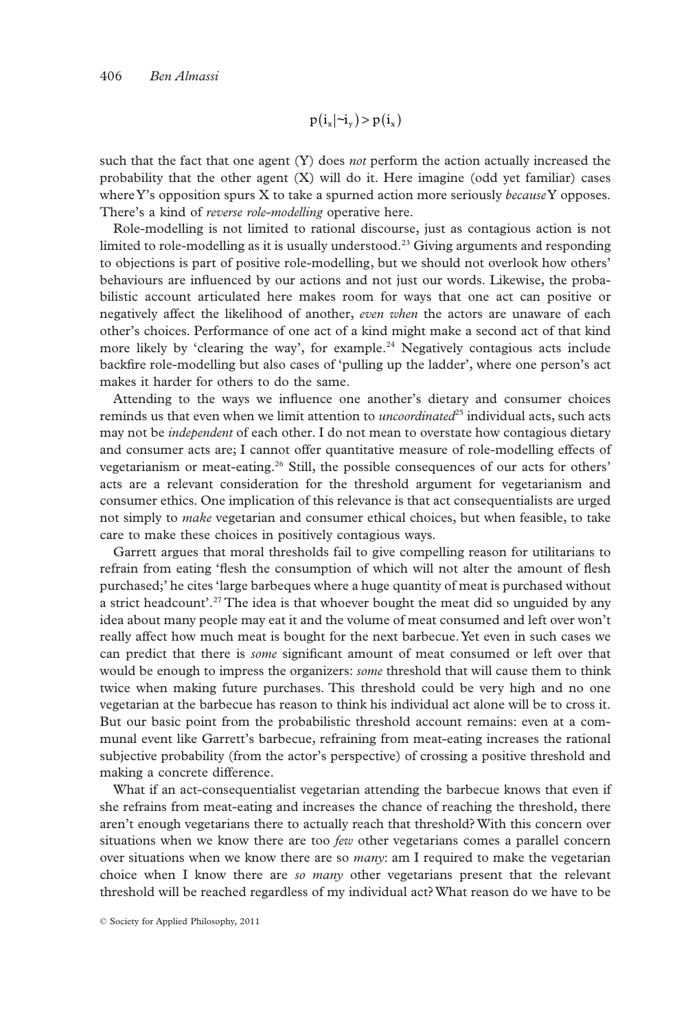$$
p(i_x|\sim i_y) > p(i_x)
$$

such that the fact that one agent (Y) does *not* perform the action actually increased the probability that the other agent (X) will do it. Here imagine (odd yet familiar) cases whereY's opposition spurs X to take a spurned action more seriously *because*Y opposes. There's a kind of *reverse role-modelling* operative here.

Role-modelling is not limited to rational discourse, just as contagious action is not limited to role-modelling as it is usually understood.<sup>23</sup> Giving arguments and responding to objections is part of positive role-modelling, but we should not overlook how others' behaviours are influenced by our actions and not just our words. Likewise, the probabilistic account articulated here makes room for ways that one act can positive or negatively affect the likelihood of another, *even when* the actors are unaware of each other's choices. Performance of one act of a kind might make a second act of that kind more likely by 'clearing the way', for example.<sup>24</sup> Negatively contagious acts include backfire role-modelling but also cases of 'pulling up the ladder', where one person's act makes it harder for others to do the same.

Attending to the ways we influence one another's dietary and consumer choices reminds us that even when we limit attention to *uncoordinated*<sup>25</sup> individual acts, such acts may not be *independent* of each other. I do not mean to overstate how contagious dietary and consumer acts are; I cannot offer quantitative measure of role-modelling effects of vegetarianism or meat-eating.<sup>26</sup> Still, the possible consequences of our acts for others' acts are a relevant consideration for the threshold argument for vegetarianism and consumer ethics. One implication of this relevance is that act consequentialists are urged not simply to *make* vegetarian and consumer ethical choices, but when feasible, to take care to make these choices in positively contagious ways.

Garrett argues that moral thresholds fail to give compelling reason for utilitarians to refrain from eating 'flesh the consumption of which will not alter the amount of flesh purchased;' he cites 'large barbeques where a huge quantity of meat is purchased without a strict headcount'.<sup>27</sup> The idea is that whoever bought the meat did so unguided by any idea about many people may eat it and the volume of meat consumed and left over won't really affect how much meat is bought for the next barbecue.Yet even in such cases we can predict that there is *some* significant amount of meat consumed or left over that would be enough to impress the organizers: *some* threshold that will cause them to think twice when making future purchases. This threshold could be very high and no one vegetarian at the barbecue has reason to think his individual act alone will be to cross it. But our basic point from the probabilistic threshold account remains: even at a communal event like Garrett's barbecue, refraining from meat-eating increases the rational subjective probability (from the actor's perspective) of crossing a positive threshold and making a concrete difference.

What if an act-consequentialist vegetarian attending the barbecue knows that even if she refrains from meat-eating and increases the chance of reaching the threshold, there aren't enough vegetarians there to actually reach that threshold? With this concern over situations when we know there are too *few* other vegetarians comes a parallel concern over situations when we know there are so *many*: am I required to make the vegetarian choice when I know there are *so many* other vegetarians present that the relevant threshold will be reached regardless of my individual act? What reason do we have to be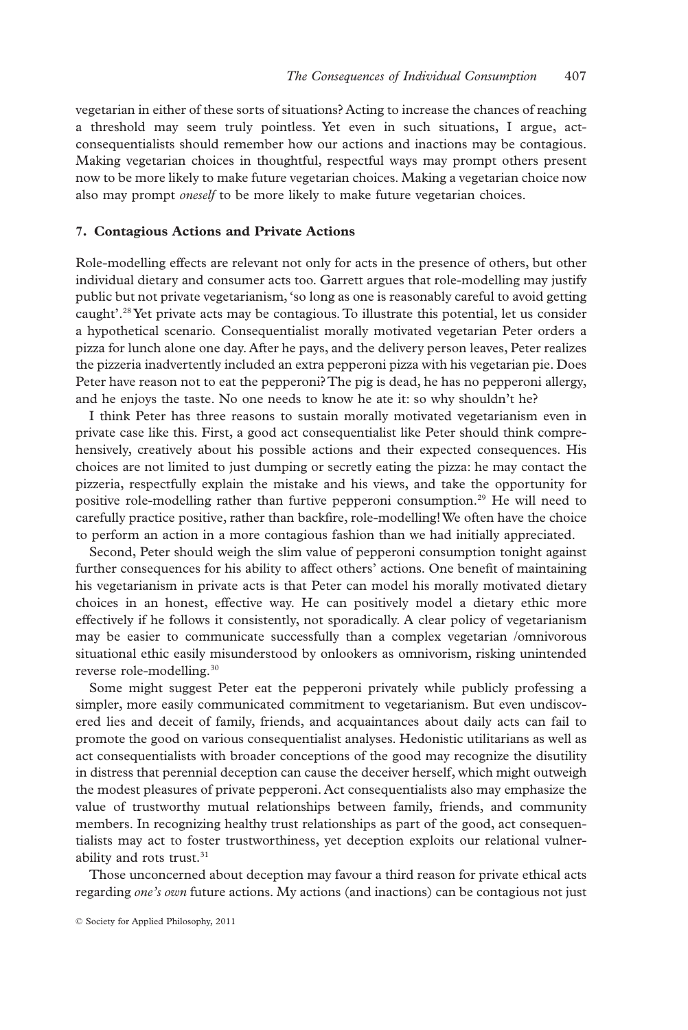vegetarian in either of these sorts of situations? Acting to increase the chances of reaching a threshold may seem truly pointless. Yet even in such situations, I argue, actconsequentialists should remember how our actions and inactions may be contagious. Making vegetarian choices in thoughtful, respectful ways may prompt others present now to be more likely to make future vegetarian choices. Making a vegetarian choice now also may prompt *oneself* to be more likely to make future vegetarian choices.

### **7. Contagious Actions and Private Actions**

Role-modelling effects are relevant not only for acts in the presence of others, but other individual dietary and consumer acts too. Garrett argues that role-modelling may justify public but not private vegetarianism, 'so long as one is reasonably careful to avoid getting caught'.28Yet private acts may be contagious. To illustrate this potential, let us consider a hypothetical scenario. Consequentialist morally motivated vegetarian Peter orders a pizza for lunch alone one day. After he pays, and the delivery person leaves, Peter realizes the pizzeria inadvertently included an extra pepperoni pizza with his vegetarian pie. Does Peter have reason not to eat the pepperoni? The pig is dead, he has no pepperoni allergy, and he enjoys the taste. No one needs to know he ate it: so why shouldn't he?

I think Peter has three reasons to sustain morally motivated vegetarianism even in private case like this. First, a good act consequentialist like Peter should think comprehensively, creatively about his possible actions and their expected consequences. His choices are not limited to just dumping or secretly eating the pizza: he may contact the pizzeria, respectfully explain the mistake and his views, and take the opportunity for positive role-modelling rather than furtive pepperoni consumption.29 He will need to carefully practice positive, rather than backfire, role-modelling!We often have the choice to perform an action in a more contagious fashion than we had initially appreciated.

Second, Peter should weigh the slim value of pepperoni consumption tonight against further consequences for his ability to affect others' actions. One benefit of maintaining his vegetarianism in private acts is that Peter can model his morally motivated dietary choices in an honest, effective way. He can positively model a dietary ethic more effectively if he follows it consistently, not sporadically. A clear policy of vegetarianism may be easier to communicate successfully than a complex vegetarian /omnivorous situational ethic easily misunderstood by onlookers as omnivorism, risking unintended reverse role-modelling.30

Some might suggest Peter eat the pepperoni privately while publicly professing a simpler, more easily communicated commitment to vegetarianism. But even undiscovered lies and deceit of family, friends, and acquaintances about daily acts can fail to promote the good on various consequentialist analyses. Hedonistic utilitarians as well as act consequentialists with broader conceptions of the good may recognize the disutility in distress that perennial deception can cause the deceiver herself, which might outweigh the modest pleasures of private pepperoni. Act consequentialists also may emphasize the value of trustworthy mutual relationships between family, friends, and community members. In recognizing healthy trust relationships as part of the good, act consequentialists may act to foster trustworthiness, yet deception exploits our relational vulnerability and rots trust. $31$ 

Those unconcerned about deception may favour a third reason for private ethical acts regarding *one's own* future actions. My actions (and inactions) can be contagious not just

© Society for Applied Philosophy, 2011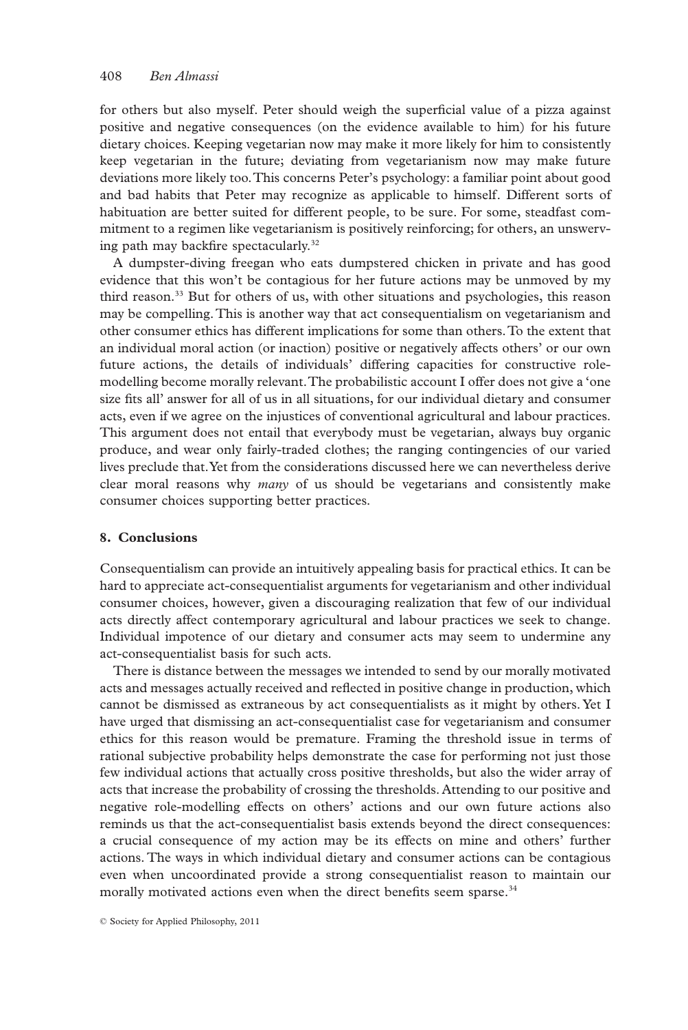for others but also myself. Peter should weigh the superficial value of a pizza against positive and negative consequences (on the evidence available to him) for his future dietary choices. Keeping vegetarian now may make it more likely for him to consistently keep vegetarian in the future; deviating from vegetarianism now may make future deviations more likely too.This concerns Peter's psychology: a familiar point about good and bad habits that Peter may recognize as applicable to himself. Different sorts of habituation are better suited for different people, to be sure. For some, steadfast commitment to a regimen like vegetarianism is positively reinforcing; for others, an unswerving path may backfire spectacularly.<sup>32</sup>

A dumpster-diving freegan who eats dumpstered chicken in private and has good evidence that this won't be contagious for her future actions may be unmoved by my third reason.33 But for others of us, with other situations and psychologies, this reason may be compelling.This is another way that act consequentialism on vegetarianism and other consumer ethics has different implications for some than others.To the extent that an individual moral action (or inaction) positive or negatively affects others' or our own future actions, the details of individuals' differing capacities for constructive rolemodelling become morally relevant.The probabilistic account I offer does not give a 'one size fits all' answer for all of us in all situations, for our individual dietary and consumer acts, even if we agree on the injustices of conventional agricultural and labour practices. This argument does not entail that everybody must be vegetarian, always buy organic produce, and wear only fairly-traded clothes; the ranging contingencies of our varied lives preclude that.Yet from the considerations discussed here we can nevertheless derive clear moral reasons why *many* of us should be vegetarians and consistently make consumer choices supporting better practices.

## **8. Conclusions**

Consequentialism can provide an intuitively appealing basis for practical ethics. It can be hard to appreciate act-consequentialist arguments for vegetarianism and other individual consumer choices, however, given a discouraging realization that few of our individual acts directly affect contemporary agricultural and labour practices we seek to change. Individual impotence of our dietary and consumer acts may seem to undermine any act-consequentialist basis for such acts.

There is distance between the messages we intended to send by our morally motivated acts and messages actually received and reflected in positive change in production, which cannot be dismissed as extraneous by act consequentialists as it might by others. Yet I have urged that dismissing an act-consequentialist case for vegetarianism and consumer ethics for this reason would be premature. Framing the threshold issue in terms of rational subjective probability helps demonstrate the case for performing not just those few individual actions that actually cross positive thresholds, but also the wider array of acts that increase the probability of crossing the thresholds. Attending to our positive and negative role-modelling effects on others' actions and our own future actions also reminds us that the act-consequentialist basis extends beyond the direct consequences: a crucial consequence of my action may be its effects on mine and others' further actions. The ways in which individual dietary and consumer actions can be contagious even when uncoordinated provide a strong consequentialist reason to maintain our morally motivated actions even when the direct benefits seem sparse.<sup>34</sup>

<sup>©</sup> Society for Applied Philosophy, 2011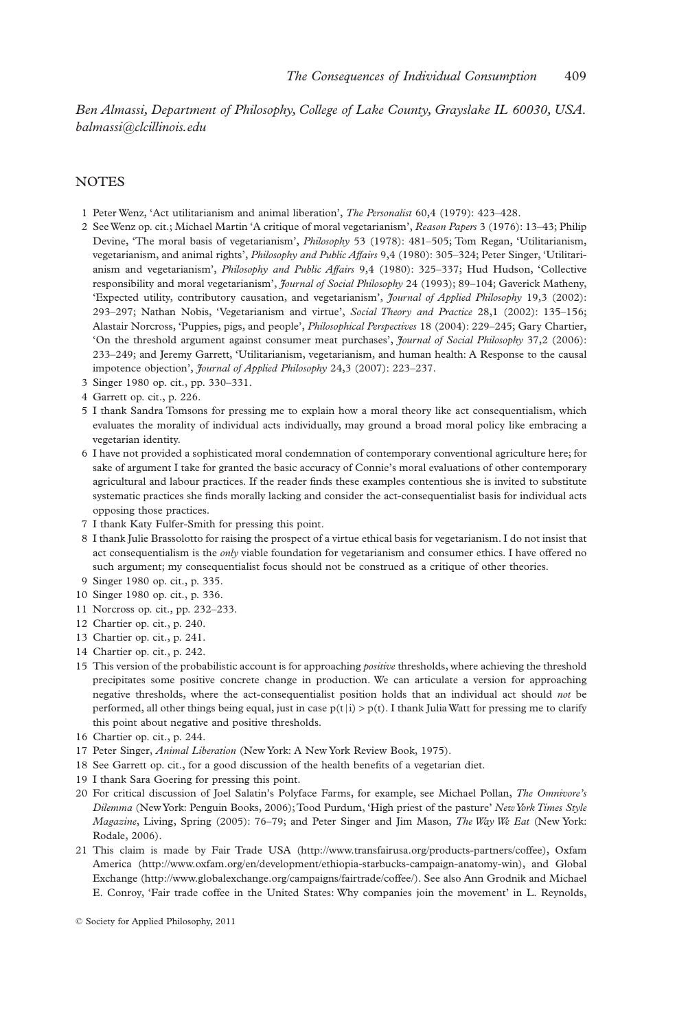*Ben Almassi, Department of Philosophy, College of Lake County, Grayslake IL 60030, USA. balmassi@clcillinois.edu*

#### **NOTES**

- 1 Peter Wenz, 'Act utilitarianism and animal liberation', *The Personalist* 60,4 (1979): 423–428.
- 2 SeeWenz op. cit.; Michael Martin 'A critique of moral vegetarianism', *Reason Papers* 3 (1976): 13–43; Philip Devine, 'The moral basis of vegetarianism', *Philosophy* 53 (1978): 481–505; Tom Regan, 'Utilitarianism, vegetarianism, and animal rights', *Philosophy and Public Affairs* 9,4 (1980): 305–324; Peter Singer, 'Utilitarianism and vegetarianism', *Philosophy and Public Affairs* 9,4 (1980): 325–337; Hud Hudson, 'Collective responsibility and moral vegetarianism', *Journal of Social Philosophy* 24 (1993); 89–104; Gaverick Matheny, 'Expected utility, contributory causation, and vegetarianism', *Journal of Applied Philosophy* 19,3 (2002): 293–297; Nathan Nobis, 'Vegetarianism and virtue', *Social Theory and Practice* 28,1 (2002): 135–156; Alastair Norcross, 'Puppies, pigs, and people', *Philosophical Perspectives* 18 (2004): 229–245; Gary Chartier, 'On the threshold argument against consumer meat purchases', *Journal of Social Philosophy* 37,2 (2006): 233–249; and Jeremy Garrett, 'Utilitarianism, vegetarianism, and human health: A Response to the causal impotence objection', *Journal of Applied Philosophy* 24,3 (2007): 223–237.
- 3 Singer 1980 op. cit., pp. 330–331.
- 4 Garrett op. cit., p. 226.
- 5 I thank Sandra Tomsons for pressing me to explain how a moral theory like act consequentialism, which evaluates the morality of individual acts individually, may ground a broad moral policy like embracing a vegetarian identity.
- 6 I have not provided a sophisticated moral condemnation of contemporary conventional agriculture here; for sake of argument I take for granted the basic accuracy of Connie's moral evaluations of other contemporary agricultural and labour practices. If the reader finds these examples contentious she is invited to substitute systematic practices she finds morally lacking and consider the act-consequentialist basis for individual acts opposing those practices.
- 7 I thank Katy Fulfer-Smith for pressing this point.
- 8 I thank Julie Brassolotto for raising the prospect of a virtue ethical basis for vegetarianism. I do not insist that act consequentialism is the *only* viable foundation for vegetarianism and consumer ethics. I have offered no such argument; my consequentialist focus should not be construed as a critique of other theories.
- 9 Singer 1980 op. cit., p. 335.
- 10 Singer 1980 op. cit., p. 336.
- 11 Norcross op. cit., pp. 232–233.
- 12 Chartier op. cit., p. 240.
- 13 Chartier op. cit., p. 241.
- 14 Chartier op. cit., p. 242.
- 15 This version of the probabilistic account is for approaching *positive* thresholds, where achieving the threshold precipitates some positive concrete change in production. We can articulate a version for approaching negative thresholds, where the act-consequentialist position holds that an individual act should *not* be performed, all other things being equal, just in case  $p(t|i) > p(t)$ . I thank Julia Watt for pressing me to clarify this point about negative and positive thresholds.
- 16 Chartier op. cit., p. 244.
- 17 Peter Singer, *Animal Liberation* (New York: A New York Review Book, 1975).
- 18 See Garrett op. cit., for a good discussion of the health benefits of a vegetarian diet.
- 19 I thank Sara Goering for pressing this point.
- 20 For critical discussion of Joel Salatin's Polyface Farms, for example, see Michael Pollan, *The Omnivore's Dilemma* (NewYork: Penguin Books, 2006);Tood Purdum, 'High priest of the pasture' *NewYork Times Style Magazine*, Living, Spring (2005): 76–79; and Peter Singer and Jim Mason, *The Way We Eat* (New York: Rodale, 2006).
- 21 This claim is made by Fair Trade USA (http://www.transfairusa.org/products-partners/coffee), Oxfam America (http://www.oxfam.org/en/development/ethiopia-starbucks-campaign-anatomy-win), and Global Exchange (http://www.globalexchange.org/campaigns/fairtrade/coffee/). See also Ann Grodnik and Michael E. Conroy, 'Fair trade coffee in the United States: Why companies join the movement' in L. Reynolds,

<sup>©</sup> Society for Applied Philosophy, 2011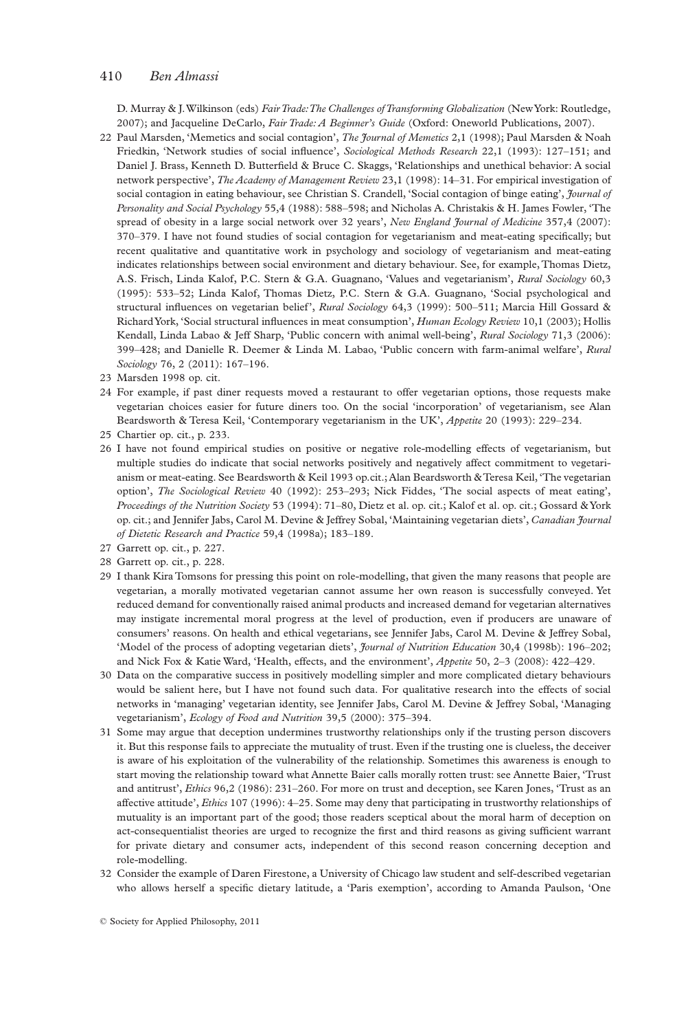#### 410 *Ben Almassi*

D. Murray & J.Wilkinson (eds) *FairTrade:The Challenges ofTransforming Globalization* (NewYork: Routledge, 2007); and Jacqueline DeCarlo, *Fair Trade: A Beginner's Guide* (Oxford: Oneworld Publications, 2007).

- 22 Paul Marsden, 'Memetics and social contagion', *The Journal of Memetics* 2,1 (1998); Paul Marsden & Noah Friedkin, 'Network studies of social influence', *Sociological Methods Research* 22,1 (1993): 127–151; and Daniel J. Brass, Kenneth D. Butterfield & Bruce C. Skaggs, 'Relationships and unethical behavior: A social network perspective', *The Academy of Management Review* 23,1 (1998): 14–31. For empirical investigation of social contagion in eating behaviour, see Christian S. Crandell, 'Social contagion of binge eating', *Journal of Personality and Social Psychology* 55,4 (1988): 588–598; and Nicholas A. Christakis & H. James Fowler, 'The spread of obesity in a large social network over 32 years', *New England Journal of Medicine* 357,4 (2007): 370–379. I have not found studies of social contagion for vegetarianism and meat-eating specifically; but recent qualitative and quantitative work in psychology and sociology of vegetarianism and meat-eating indicates relationships between social environment and dietary behaviour. See, for example,Thomas Dietz, A.S. Frisch, Linda Kalof, P.C. Stern & G.A. Guagnano, 'Values and vegetarianism', *Rural Sociology* 60,3 (1995): 533–52; Linda Kalof, Thomas Dietz, P.C. Stern & G.A. Guagnano, 'Social psychological and structural influences on vegetarian belief', *Rural Sociology* 64,3 (1999): 500–511; Marcia Hill Gossard & RichardYork, 'Social structural influences in meat consumption', *Human Ecology Review* 10,1 (2003); Hollis Kendall, Linda Labao & Jeff Sharp, 'Public concern with animal well-being', *Rural Sociology* 71,3 (2006): 399–428; and Danielle R. Deemer & Linda M. Labao, 'Public concern with farm-animal welfare', *Rural Sociology* 76, 2 (2011): 167–196.
- 23 Marsden 1998 op. cit.
- 24 For example, if past diner requests moved a restaurant to offer vegetarian options, those requests make vegetarian choices easier for future diners too. On the social 'incorporation' of vegetarianism, see Alan Beardsworth & Teresa Keil, 'Contemporary vegetarianism in the UK', *Appetite* 20 (1993): 229–234.
- 25 Chartier op. cit., p. 233.
- 26 I have not found empirical studies on positive or negative role-modelling effects of vegetarianism, but multiple studies do indicate that social networks positively and negatively affect commitment to vegetarianism or meat-eating. See Beardsworth & Keil 1993 op.cit.; Alan Beardsworth &Teresa Keil, 'The vegetarian option', *The Sociological Review* 40 (1992): 253–293; Nick Fiddes, 'The social aspects of meat eating', *Proceedings of the Nutrition Society* 53 (1994): 71–80, Dietz et al. op. cit.; Kalof et al. op. cit.; Gossard &York op. cit.; and Jennifer Jabs, Carol M. Devine & Jeffrey Sobal, 'Maintaining vegetarian diets', *Canadian Journal of Dietetic Research and Practice* 59,4 (1998a); 183–189.
- 27 Garrett op. cit., p. 227.
- 28 Garrett op. cit., p. 228.
- 29 I thank Kira Tomsons for pressing this point on role-modelling, that given the many reasons that people are vegetarian, a morally motivated vegetarian cannot assume her own reason is successfully conveyed. Yet reduced demand for conventionally raised animal products and increased demand for vegetarian alternatives may instigate incremental moral progress at the level of production, even if producers are unaware of consumers' reasons. On health and ethical vegetarians, see Jennifer Jabs, Carol M. Devine & Jeffrey Sobal, 'Model of the process of adopting vegetarian diets', *Journal of Nutrition Education* 30,4 (1998b): 196–202; and Nick Fox & Katie Ward, 'Health, effects, and the environment', *Appetite* 50, 2–3 (2008): 422–429.
- 30 Data on the comparative success in positively modelling simpler and more complicated dietary behaviours would be salient here, but I have not found such data. For qualitative research into the effects of social networks in 'managing' vegetarian identity, see Jennifer Jabs, Carol M. Devine & Jeffrey Sobal, 'Managing vegetarianism', *Ecology of Food and Nutrition* 39,5 (2000): 375–394.
- 31 Some may argue that deception undermines trustworthy relationships only if the trusting person discovers it. But this response fails to appreciate the mutuality of trust. Even if the trusting one is clueless, the deceiver is aware of his exploitation of the vulnerability of the relationship. Sometimes this awareness is enough to start moving the relationship toward what Annette Baier calls morally rotten trust: see Annette Baier, 'Trust and antitrust', *Ethics* 96,2 (1986): 231–260. For more on trust and deception, see Karen Jones, 'Trust as an affective attitude', *Ethics* 107 (1996): 4–25. Some may deny that participating in trustworthy relationships of mutuality is an important part of the good; those readers sceptical about the moral harm of deception on act-consequentialist theories are urged to recognize the first and third reasons as giving sufficient warrant for private dietary and consumer acts, independent of this second reason concerning deception and role-modelling.
- 32 Consider the example of Daren Firestone, a University of Chicago law student and self-described vegetarian who allows herself a specific dietary latitude, a 'Paris exemption', according to Amanda Paulson, 'One

<sup>©</sup> Society for Applied Philosophy, 2011